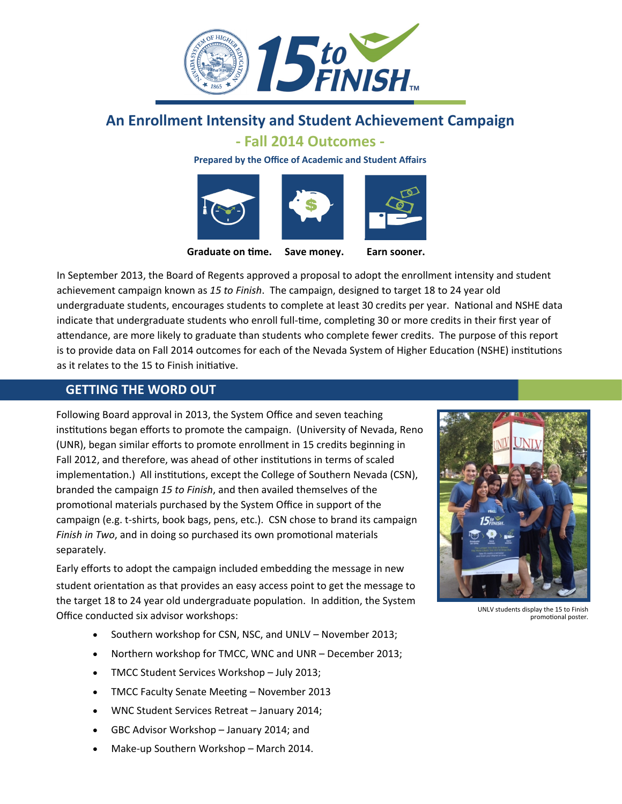

# **An Enrollment Intensity and Student Achievement Campaign**

### **‐ Fall 2014 Outcomes ‐**

**Prepared by the Office of Academic and Student Affairs**







**Graduate on Ɵme. Save money. Earn sooner.**

In September 2013, the Board of Regents approved a proposal to adopt the enrollment intensity and student achievement campaign known as *15 to Finish*. The campaign, designed to target 18 to 24 year old undergraduate students, encourages students to complete at least 30 credits per year. National and NSHE data indicate that undergraduate students who enroll full-time, completing 30 or more credits in their first year of attendance, are more likely to graduate than students who complete fewer credits. The purpose of this report is to provide data on Fall 2014 outcomes for each of the Nevada System of Higher Education (NSHE) institutions as it relates to the 15 to Finish initiative.

### **GETTING THE WORD OUT**

Following Board approval in 2013, the System Office and seven teaching institutions began efforts to promote the campaign. (University of Nevada, Reno (UNR), began similar efforts to promote enrollment in 15 credits beginning in Fall 2012, and therefore, was ahead of other institutions in terms of scaled implementation.) All institutions, except the College of Southern Nevada (CSN), branded the campaign *15 to Finish*, and then availed themselves of the promotional materials purchased by the System Office in support of the campaign (e.g. t‐shirts, book bags, pens, etc.). CSN chose to brand its campaign *Finish in Two*, and in doing so purchased its own promotional materials separately.

Early efforts to adopt the campaign included embedding the message in new student orientation as that provides an easy access point to get the message to the target 18 to 24 year old undergraduate population. In addition, the System Office conducted six advisor workshops:

- Southern workshop for CSN, NSC, and UNLV November 2013;
- Northern workshop for TMCC, WNC and UNR December 2013;
- TMCC Student Services Workshop July 2013;
- TMCC Faculty Senate Meeting November 2013
- WNC Student Services Retreat January 2014;
- GBC Advisor Workshop January 2014; and
- Make‐up Southern Workshop March 2014.



UNLV students display the 15 to Finish promotional poster.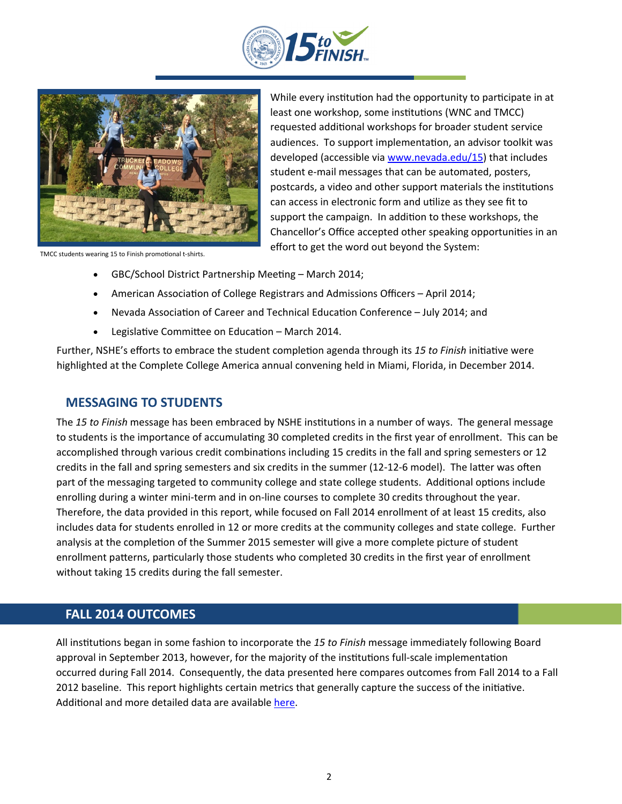



While every institution had the opportunity to participate in at least one workshop, some institutions (WNC and TMCC) requested additional workshops for broader student service audiences. To support implementation, an advisor toolkit was developed (accessible via www.nevada.edu/15) that includes student e-mail messages that can be automated, posters, postcards, a video and other support materials the institutions can access in electronic form and utilize as they see fit to support the campaign. In addition to these workshops, the Chancellor's Office accepted other speaking opportunities in an TMCC students wearing 15 to Finish promotional t‐shirts. effort to get the word out beyond the System:

- GBC/School District Partnership Meeting March 2014;
- American Association of College Registrars and Admissions Officers April 2014;
- Nevada Association of Career and Technical Education Conference July 2014; and
- Legislative Committee on Education March 2014.

Further, NSHE's efforts to embrace the student completion agenda through its 15 to Finish initiative were highlighted at the Complete College America annual convening held in Miami, Florida, in December 2014.

#### **MESSAGING TO STUDENTS**

The 15 to Finish message has been embraced by NSHE institutions in a number of ways. The general message to students is the importance of accumulating 30 completed credits in the first year of enrollment. This can be accomplished through various credit combinations including 15 credits in the fall and spring semesters or 12 credits in the fall and spring semesters and six credits in the summer (12-12-6 model). The latter was often part of the messaging targeted to community college and state college students. Additional options include enrolling during a winter mini‐term and in on‐line courses to complete 30 credits throughout the year. Therefore, the data provided in this report, while focused on Fall 2014 enrollment of at least 15 credits, also includes data for students enrolled in 12 or more credits at the community colleges and state college. Further analysis at the completion of the Summer 2015 semester will give a more complete picture of student enrollment patterns, particularly those students who completed 30 credits in the first year of enrollment without taking 15 credits during the fall semester.

### **FALL 2014 OUTCOMES**

All institutions began in some fashion to incorporate the 15 to *Finish* message immediately following Board approval in September 2013, however, for the majority of the institutions full-scale implementation occurred during Fall 2014. Consequently, the data presented here compares outcomes from Fall 2014 to a Fall 2012 baseline. This report highlights certain metrics that generally capture the success of the initiative. Additional and more detailed data are available [here.](http://system.nevada.edu/tasks/sites/Nshe/assets/File/15_to_Finish_Fall_2014_Outcome_Data_Revised_04022015.pdf)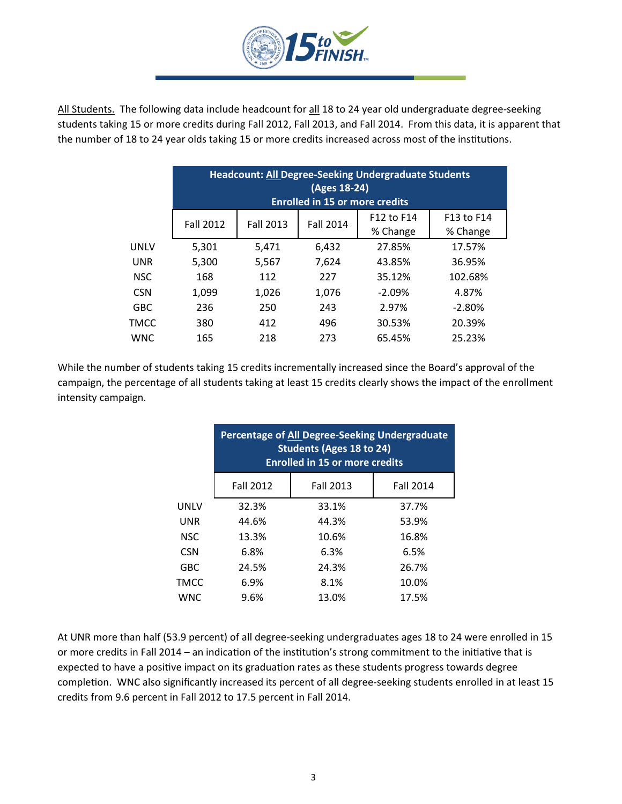

All Students. The following data include headcount for all 18 to 24 year old undergraduate degree-seeking students taking 15 or more credits during Fall 2012, Fall 2013, and Fall 2014. From this data, it is apparent that the number of 18 to 24 year olds taking 15 or more credits increased across most of the institutions.

|             | <b>Headcount: All Degree-Seeking Undergraduate Students</b><br>$(Ages 18-24)$<br><b>Enrolled in 15 or more credits</b> |                  |                  |                        |                        |  |
|-------------|------------------------------------------------------------------------------------------------------------------------|------------------|------------------|------------------------|------------------------|--|
|             | <b>Fall 2012</b>                                                                                                       | <b>Fall 2013</b> | <b>Fall 2014</b> | F12 to F14<br>% Change | F13 to F14<br>% Change |  |
| <b>UNLV</b> | 5,301                                                                                                                  | 5,471            | 6,432            | 27.85%                 | 17.57%                 |  |
| <b>UNR</b>  | 5,300                                                                                                                  | 5,567            | 7,624            | 43.85%                 | 36.95%                 |  |
| <b>NSC</b>  | 168                                                                                                                    | 112              | 227              | 35.12%                 | 102.68%                |  |
| <b>CSN</b>  | 1,099                                                                                                                  | 1,026            | 1,076            | $-2.09%$               | 4.87%                  |  |
| <b>GBC</b>  | 236                                                                                                                    | 250              | 243              | 2.97%                  | $-2.80%$               |  |
| TMCC        | 380                                                                                                                    | 412              | 496              | 30.53%                 | 20.39%                 |  |
| <b>WNC</b>  | 165                                                                                                                    | 218              | 273              | 65.45%                 | 25.23%                 |  |

While the number of students taking 15 credits incrementally increased since the Board's approval of the campaign, the percentage of all students taking at least 15 credits clearly shows the impact of the enrollment intensity campaign.

|            | <b>Percentage of All Degree-Seeking Undergraduate</b><br><b>Students (Ages 18 to 24)</b><br><b>Enrolled in 15 or more credits</b> |                  |                  |  |  |  |
|------------|-----------------------------------------------------------------------------------------------------------------------------------|------------------|------------------|--|--|--|
|            | <b>Fall 2012</b>                                                                                                                  | <b>Fall 2013</b> | <b>Fall 2014</b> |  |  |  |
| UNLV       | 32.3%                                                                                                                             | 33.1%            | 37.7%            |  |  |  |
| <b>UNR</b> | 44.6%                                                                                                                             | 44.3%            | 53.9%            |  |  |  |
| <b>NSC</b> | 13.3%                                                                                                                             | 10.6%            | 16.8%            |  |  |  |
| <b>CSN</b> | 6.8%                                                                                                                              | 6.3%             | 6.5%             |  |  |  |
| <b>GBC</b> | 24.5%                                                                                                                             | 24.3%            | 26.7%            |  |  |  |
| TMCC       | 6.9%                                                                                                                              | 8.1%             | 10.0%            |  |  |  |
| <b>WNC</b> | 9.6%                                                                                                                              | 13.0%            | 17.5%            |  |  |  |

At UNR more than half (53.9 percent) of all degree‐seeking undergraduates ages 18 to 24 were enrolled in 15 or more credits in Fall 2014 – an indication of the institution's strong commitment to the initiative that is expected to have a positive impact on its graduation rates as these students progress towards degree completion. WNC also significantly increased its percent of all degree-seeking students enrolled in at least 15 credits from 9.6 percent in Fall 2012 to 17.5 percent in Fall 2014.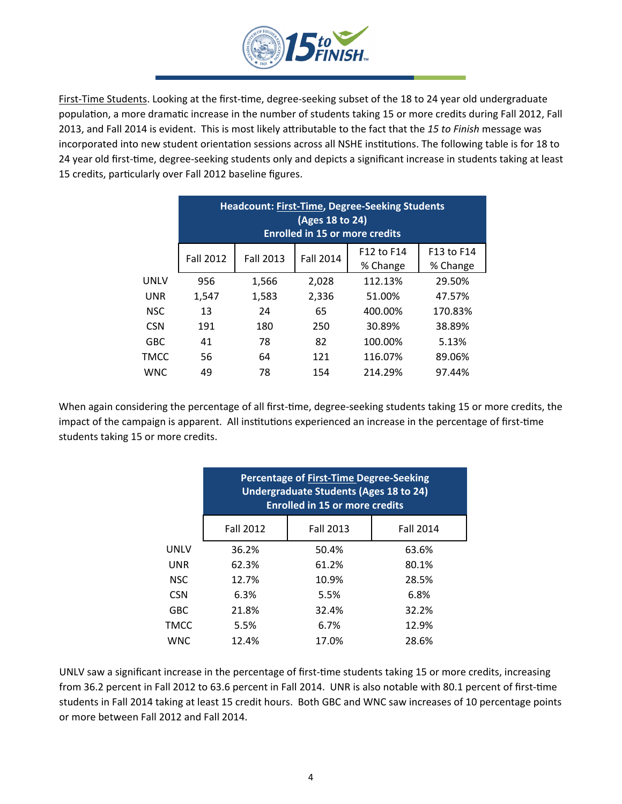

First-Time Students. Looking at the first-time, degree-seeking subset of the 18 to 24 year old undergraduate population, a more dramatic increase in the number of students taking 15 or more credits during Fall 2012, Fall 2013, and Fall 2014 is evident. This is most likely attributable to the fact that the 15 to Finish message was incorporated into new student orientation sessions across all NSHE institutions. The following table is for 18 to 24 year old first-time, degree-seeking students only and depicts a significant increase in students taking at least 15 credits, particularly over Fall 2012 baseline figures.

|            | <b>Headcount: First-Time, Degree-Seeking Students</b><br>(Ages 18 to 24)<br><b>Enrolled in 15 or more credits</b> |                  |                  |                        |                        |  |  |
|------------|-------------------------------------------------------------------------------------------------------------------|------------------|------------------|------------------------|------------------------|--|--|
|            | <b>Fall 2012</b>                                                                                                  | <b>Fall 2013</b> | <b>Fall 2014</b> | F12 to F14<br>% Change | F13 to F14<br>% Change |  |  |
| UNLV       | 956                                                                                                               | 1,566            | 2,028            | 112.13%                | 29.50%                 |  |  |
| <b>UNR</b> | 1,547                                                                                                             | 1,583            | 2,336            | 51.00%                 | 47.57%                 |  |  |
| <b>NSC</b> | 13                                                                                                                | 24               | 65               | 400.00%                | 170.83%                |  |  |
| <b>CSN</b> | 191                                                                                                               | 180              | 250              | 30.89%                 | 38.89%                 |  |  |
| <b>GBC</b> | 41                                                                                                                | 78               | 82               | 100.00%                | 5.13%                  |  |  |
| TMCC       | 56                                                                                                                | 64               | 121              | 116.07%                | 89.06%                 |  |  |
| <b>WNC</b> | 49                                                                                                                | 78               | 154              | 214.29%                | 97.44%                 |  |  |

When again considering the percentage of all first-time, degree-seeking students taking 15 or more credits, the impact of the campaign is apparent. All institutions experienced an increase in the percentage of first-time students taking 15 or more credits.

|             | Percentage of First-Time Degree-Seeking<br><b>Undergraduate Students (Ages 18 to 24)</b><br><b>Enrolled in 15 or more credits</b> |                  |                  |  |  |
|-------------|-----------------------------------------------------------------------------------------------------------------------------------|------------------|------------------|--|--|
|             | <b>Fall 2012</b>                                                                                                                  | <b>Fall 2013</b> | <b>Fall 2014</b> |  |  |
| <b>UNLV</b> | 36.2%                                                                                                                             | 50.4%            | 63.6%            |  |  |
| <b>UNR</b>  | 62.3%                                                                                                                             | 61.2%            | 80.1%            |  |  |
| <b>NSC</b>  | 12.7%                                                                                                                             | 10.9%            | 28.5%            |  |  |
| <b>CSN</b>  | 6.3%                                                                                                                              | 5.5%             | 6.8%             |  |  |
| <b>GBC</b>  | 21.8%                                                                                                                             | 32.4%            | 32.2%            |  |  |
| TMCC        | 5.5%                                                                                                                              | 6.7%             | 12.9%            |  |  |
| <b>WNC</b>  | 12.4%                                                                                                                             | 17.0%            | 28.6%            |  |  |

UNLV saw a significant increase in the percentage of first-time students taking 15 or more credits, increasing from 36.2 percent in Fall 2012 to 63.6 percent in Fall 2014. UNR is also notable with 80.1 percent of first-time students in Fall 2014 taking at least 15 credit hours. Both GBC and WNC saw increases of 10 percentage points or more between Fall 2012 and Fall 2014.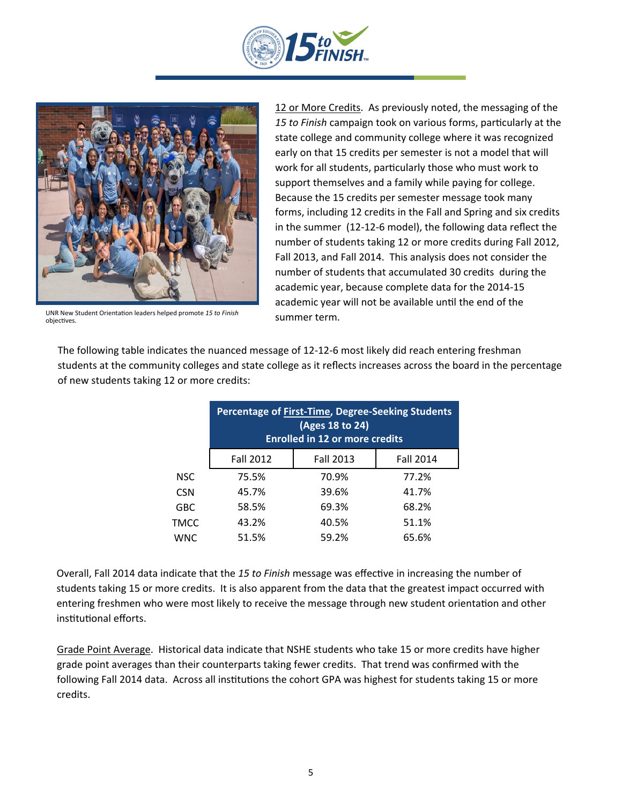



UNR New Student OrientaƟon leaders helped promote *15 to Finish* objectives.

12 or More Credits. As previously noted, the messaging of the *15 to Finish* campaign took on various forms, parƟcularly at the state college and community college where it was recognized early on that 15 credits per semester is not a model that will work for all students, particularly those who must work to support themselves and a family while paying for college. Because the 15 credits per semester message took many forms, including 12 credits in the Fall and Spring and six credits in the summer (12‐12‐6 model), the following data reflect the number of students taking 12 or more credits during Fall 2012, Fall 2013, and Fall 2014. This analysis does not consider the number of students that accumulated 30 credits during the academic year, because complete data for the 2014‐15 academic year will not be available until the end of the summer term.

The following table indicates the nuanced message of 12‐12‐6 most likely did reach entering freshman students at the community colleges and state college as it reflects increases across the board in the percentage of new students taking 12 or more credits:

|            | <b>Percentage of First-Time, Degree-Seeking Students</b><br>(Ages 18 to 24)<br><b>Enrolled in 12 or more credits</b> |                  |                  |  |  |  |
|------------|----------------------------------------------------------------------------------------------------------------------|------------------|------------------|--|--|--|
|            | <b>Fall 2012</b>                                                                                                     | <b>Fall 2013</b> | <b>Fall 2014</b> |  |  |  |
| <b>NSC</b> | 75.5%                                                                                                                | 70.9%            | 77.2%            |  |  |  |
| <b>CSN</b> | 45.7%                                                                                                                | 39.6%            | 41.7%            |  |  |  |
| <b>GBC</b> | 58.5%                                                                                                                | 69.3%            | 68.2%            |  |  |  |
| TMCC       | 43.2%                                                                                                                | 40.5%            | 51.1%            |  |  |  |
| <b>WNC</b> | 51.5%                                                                                                                | 59.2%            | 65.6%            |  |  |  |

Overall, Fall 2014 data indicate that the 15 to *Finish* message was effective in increasing the number of students taking 15 or more credits. It is also apparent from the data that the greatest impact occurred with entering freshmen who were most likely to receive the message through new student orientation and other institutional efforts.

Grade Point Average. Historical data indicate that NSHE students who take 15 or more credits have higher grade point averages than their counterparts taking fewer credits. That trend was confirmed with the following Fall 2014 data. Across all institutions the cohort GPA was highest for students taking 15 or more credits.